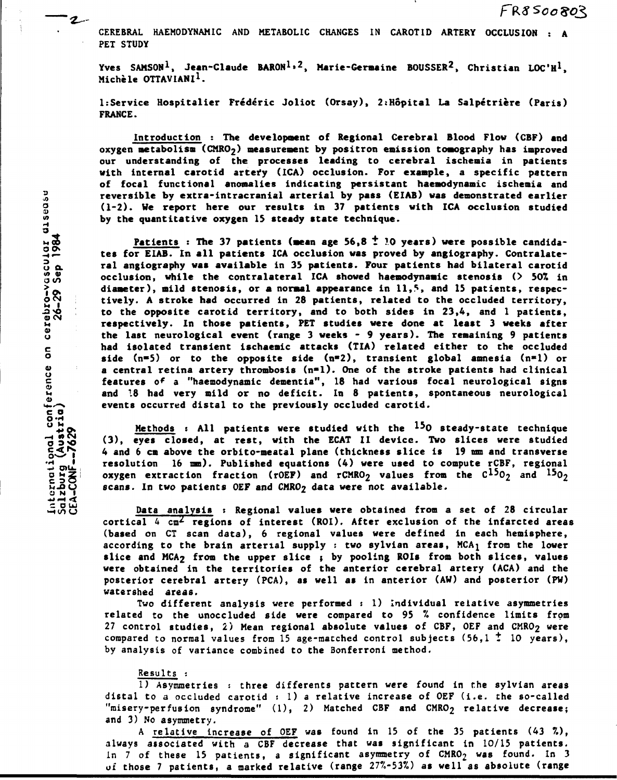**CEREBRAL HAEMODYNAMIC AND METABOLIC CHANGES IN CAROTID ARTERY OCCLUSION : A PET STUDY** 

**Yves SAMSON<sup>1</sup> , Jean-Claude BARON<sup>1</sup> » <sup>2</sup> , Marie-Germaine BOUSSER<sup>2</sup> , Christian LOC'H<sup>1</sup> , Michèle OTTAVIANI<sup>1</sup> .** 

**1:Service Hospitalier Frederic Joliot (Orsay), 2:Hôpital La Salpétrière (Paris) FRANCE.** 

**Introduction : The development of Regional Cerebral Blood Flow (CBF) and**  oxygen metabolism (CMRO<sub>2</sub>) measurement by positron emission tomography has improved **our understanding of the processes leading to cerebral ischemia in patients with internal carotid artefy (ICA) occlusion. For example, a specific pattern of focal functional anomalies indicating persistant haemodynamic ischemia and g (1-2). We report here our results in 37 patients with ICA occlusion studied**  by the quantitative oxygen 15 steady state technique.

**Example by extra-intracranial arterial by pass (EIAB) was demonstrated earlier**<br>(1-2). We report here our results in 37 patients with ICA occlusion studied<br>by the quantitative oxygen 15 steady state technique.<br><u>Patients</u>: Patients : The 37 patients (mean age 56.8 <sup>†</sup> 10 years) were possible candida-**3 — tes for EIAB. In all patients ICA occlusion was proved by angiography. Contralate-3 a ra <sup>l</sup> angiography was available in 35 patients. Four patients had bilateral carotid \* J5 occlusion, while the contralateral ICA showed haemodynamic stenosis (> 50% in**  diameter), mild stenosis, or a normal appearance in 11,<sup>5</sup>, and 15 patients, respec**o ™ tively. A stroke had occurred in 28 patients, related to the occluded territory, -3>o ; to the opposite carotid territory, and to both sides in 23,4, and 1 patients,**  *u* **respectively. In those patients, PET studies were done at least 3 weeks after**  the last neurological event (range 3 weeks - 9 years). The remaining 9 patients *<sup>c</sup>* **had isolated transient ischaemic attacks (TLA) related either to the occluded bide** (n=5) or to the opposite side (n=2), transient global amnesia (n=1) or a central retina artery thrombosis (n=1). One of the stroke patients had clinical features of a "haemodynamic dementia", 18 had various focal neurological signs **n and 18 had very mild or no deficit. In 8 patients, spontaneous neurological events occurred distal to the previously occluded carotid.** 

**°£o s Methods : All patients were studied with the <sup>15</sup> 0 steady-state technique <sup>e</sup> y <sup>e</sup> \* closed, at rest, with the ECAT II device. Two slices were studied §^,, S | 4 and 6 cm above the orbito-meatal plane (thickness slice is 19 mm and transverse**  *\* util.* **resolution 16 mm). Published equations (4) were used to compute rCBF, regional**  oxygen extraction fraction (rOEF) and rCMRO<sub>2</sub> values from the  $C^{15}O_2$  and  $^{15}O_2$ **14.00 scans. In two patients OEF and CMRO2 data were not available.** 

> **Data analysis : Regional values were obtained from a set of 28 circular cortical 4 cm^ regions of interest (ROI). After exclusion of the infarcted areas (based on CT scan data), 6 regional values were defined in each hemisphere, according to the brain arterial supply : two sylvian areas, MCA} from the lower slice and MCA2 from the upper slice ; by pooling ROIs from both slices, values were obtained in the territories of the anterior cerebral artery (ACA) and the posterior cerebral artery (PCA), as well as in anterior (AW) and posterior (PW) watershed areas.**

> **Two different analysis were performed : 1) Individual relative asymmetries related to the unoccluded side were compared to 95 % confidence limits from 27 control studies, 2) Mean regional absolute values of CBF, OEF and CMRO2 were compared to normal values from 15 age-matched control subjects (56,1** *t* **10 years), by analysis of variance combined to the Bonferroni method.**

# **Results :**

**1) Asymmetries : three différents pattern were found in the sylvian areas distal to a occluded carotid : 1) a relative increase of OEF (i.e. the so-called "misery-perfusion syndrome" (1), 2) Matched CBF and CMRO2 relative decrease; and 3) No asymmetry.** 

**A relative increase of OEF was found in 15 of the 35 patients (43 %) , always associated with a CBF decrease that was significant in 10/15 patients.**  In 7 of these 15 patients, a significant asymmetry of CMRO<sub>2</sub> was found. In 3 **of those 7 patients, a marked relative (range 277.-53%) as well as absolute (range** 

**2 -**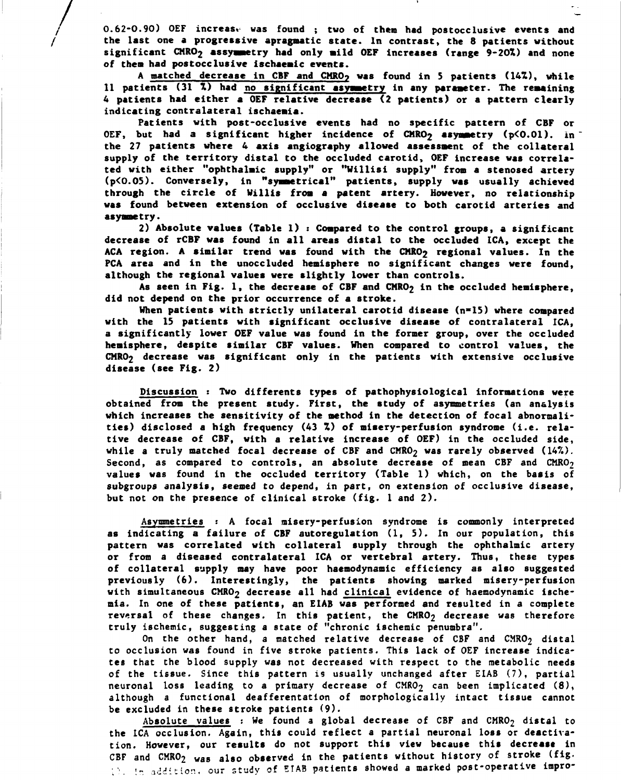**0.62-0.90) OEF increase was found ; tvo of them had postocclusive events and the last one a progressive apragnatic state. In contrast, the 8 patients without significant CMR02 assymaetry had only mild OEF increases (range 9-20%) and none of then had postocclusive ischaeaic events.** 

**A matched decrease in CBF and CMRO? vas found in 5 patients (14%), while 11 patients (31 %) had no significant asymmetry in any parameter. The remaining 4 patients had either a OEF relative decrease (2 patients) or a pattern clearly indicating contralateral ischaemia.** 

**Patients with post-occlusive events had no specific pattern of CBF or OEF, but had a significant higher incidence of CMRO2 asymmetry (p<0.01). in the 27 patients where 4 axis angiography allowed assessment of the collateral supply of the territory distal to the occluded carotid, OEF increase was correlated with either "ophthalmic supply" or "Willisi supply" from a stenosed artery (p<0.05). Conversely, in "symmetrical" patients, supply was usually achieved through the circle of Willis from a patent artery. However, no relationship was found between extension of occlusive disease to both carotid arteries and asymmetry.** 

**2) Absolute values (Table 1) : Compared to the control groups, a significant decrease of rCBF was found in all areas distal to the occluded ICA, except the**  ACA region. A similar trend was found with the CMRO<sub>2</sub> regional values. In the **PCA area and in the unoccluded hemisphere no significant changes were found, although the regional values were slightly lower than controls.** 

As seen in Fig. 1, the decrease of CBF and CMRO<sub>2</sub> in the occluded hemisphere, **did not depend on the prior occurrence of a stroke.** 

**When patients with strictly unilateral carotid disease (n»15) where compared with the 15 patients with significant occlusive disease of contralateral ICA, a significantly lower OEF value was found in the former group, over the occluded hemisphere, despite similar CBF values. When compared to control values, the CHRO2 decrease was significant only in the patients with extensive occlusive disease (see Fig. 2)** 

**Discussion : Two différents types of pathophysiological informations were obtained from the present study. First, the study of asymmetries (an analysis which increases the sensitivity of the method in the detection of focal abnormalities) disclosed a high frequency (43 %) of misery-perfusion syndrome (i.e. relative decrease of CBF, with a relative increase of OEF) in the occluded side,**  while a truly matched focal decrease of CBF and CMRO<sub>2</sub> was rarely observed (14%). Second, as compared to controls, an absolute decrease of mean CBF and CMRO<sub>2</sub> **values was found in the occluded territory (Table 1) which, on the basis of subgroups analysis, seemed to depend, in part, on extension of occlusive disease, but not on the presence of clinical stroke (fig. 1 and 2).** 

**Asymmetries : A focal misery-perfusion syndrome is commonly interpreted as indicating a failure of CBF autoregulation (1, 5). In our population, this pattern was correlated with collateral supply through the ophthalmic artery or from a diseased contralateral ICA or vertebral artery. Thus, these types of collateral supply may have poor haemodynamic efficiency as also suggested previously (6). Interestingly, the patients showing marked misery-perfusion**  with simultaneous CMRO<sub>2</sub> decrease all had clinical evidence of haemodynamic ische**mia. In one of these patients, an EIAB was performed and resulted in a complete**  reversal of these changes. In this patient, the CMRO<sub>2</sub> decrease was therefore **truly ischemic, suggesting a state of "chronic ischemic penumbra".** 

**On the other hand, a matched relative decrease of CBF and CMRO2 distal to occlusion was found in five stroke patients. This lack of OEF increase indicates that Che blood supply was not decreased with respect to the metabolic needs of the tissue. Since this pattern is usually unchanged after EIAB (7), partial**  neuronal loss leading to a primary decrease of CMRO<sub>2</sub> can been implicated (8), **although a functional deafferentation of morphologically intact tissue cannot be excluded in these stroke patients (9).** 

**Absolute values : We found a global decrease of CBF and CMR02 distal to the ICA occlusion. Again, this could reflect a partial neuronal loss or deactivation. However, our results do not support this view because this decrease in CBF and CMR02 was also observed in the patients without history of stroke (fig. • '. '-** *addition,* **our study of EIAB patients showed a marked post-operative inpro-**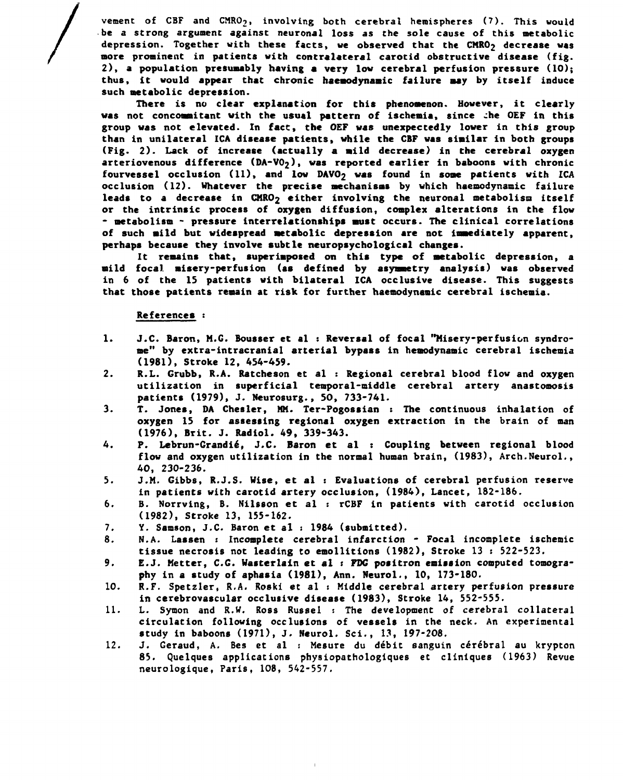vement of CBF and CMRO<sub>2</sub>, involving both cerebral hemispheres (7). This would **be a strong argument against neuronal loss** *as* **the sole cause of this metabolic depression. Together with these facts, we observed that the CMR02 decrease was more prominent in patients with contralateral carotid obstructive disease (fig. 2 ), a population presumably having a very low cerebral perfusion pressure (10); thus, it would appear that chronic haemodynamic failure may by itself induce such metabolic depression.** 

**There is no clear explanation for this phenomenon. However, it clearly**  was not concommitant with the usual pattern of ischemia, since the OEF in this **group was not elevated. In fact, the OEF was unexpectedly lower in this group than in unilateral ICA disease patients, while the CBF was similar in both groups (Fig. 2). Lack of increase (actually a mild decrease) in the cerebral oxygen**  arteriovenous difference (DA-VO<sub>2</sub>), was reported earlier in baboons with chronic fourvessel occlusion (11), and low DAVO<sub>2</sub> was found in some patients with ICA **occlusion (12). Whatever the precise mechanisms by which haemodynamic failure leads to a decrease in CMRO2 either involving the neuronal metabolism itself or the intrinsic process of oxygen diffusion, complex alterations in the flow \* metabolism - pressure interrelationships must occurs. The clinical correlations of such mild but widespread metabolic depression are not immediately apparent, perhaps because they involve subtle neuropsychological changes.** 

**It remains that, superimposed on this type of metabolic depression, a mild focal misery-perfusion (as defined by asymmetry analysis) was observed in 6 of the 15 patients with bilateral ICA occlusive disease. This suggests that those patients remain at risk for further haemodynamic cerebral ischemia.** 

## **References :**

- **1. J.C. Baron, M.G. Bousser et al : Reversal of focal "Misery-perfusion syndrome" by extra-intracranial arterial bypass in hemodynamic cerebral ischemia (1981), Stroke 12, 454-459.**
- **2. R.L. Grubb, R.A. Ratcheson et al : Regional cerebral blood flow and oxygen utilization in superficial temporal-middle cerebral artery anastomosis patients (1979), J. Neurosurg., 50, 733-741.**
- **3. T. Jones, DA Chester, MM. Ter-Pogossian : The continuous inhalation of oxygen 15 for assessing regional oxygen extraction in the brain of man (1976), Brit. J. Radiol. 49, 339-343.**
- **4. P. Lebrun-Grandié, J.C. Baron et al : Coupling between regional blood flow and oxygen utilization in the normal human brain, (1983), Arch.Neurol., 40, 230-236.**
- **5. J.M. Gibbs, R.J.S. Wise, et al : Evaluations of cerebral perfusion reserve in patients with carotid artery occlusion, (1984), Lancet, 182-186.**
- **6. B. Norrving, B. Nilsson et al : rCBF in patients with carotid occlusion (1982), Stroke 13, 155-162.**
- **7. Y. Samson, J.C. Baron et al : 1984 (submitted).**
- **8. N.A. Lassen : Incomplete cerebral infarction Focal incomplete ischemic tissue necrosis not leading to emollitions (1982), Stroke 13 : 522-523.**
- **9. E.J. Metter, C.G. Wasterlain et al : FDG positron emission computed tomography in a study of aphasia (1981), Ann. Neurol., 10, 173-180.**
- **10. R.F. Spetzler, R.A. Roski et al : Middle cerebral artery perfusion pressure in cerebrovascular occlusive disease (1983), Stroke 14, 552-555.**
- **11. L. Sytnon and R.W. Ross Russel : The development of cerebral collateral circulation following occlusions of vessels in the neck. An experimental study in baboons (1971), J. Neurol. Sci., 13, 197-208.**
- **12. J. Geraud, A. Bes et al : Mesure du débit sanguin cérébral au krypton 85. Quelques applications physiopathologiques et cliniques (1963) Revue neurologique, Paris, 108, 542-557.**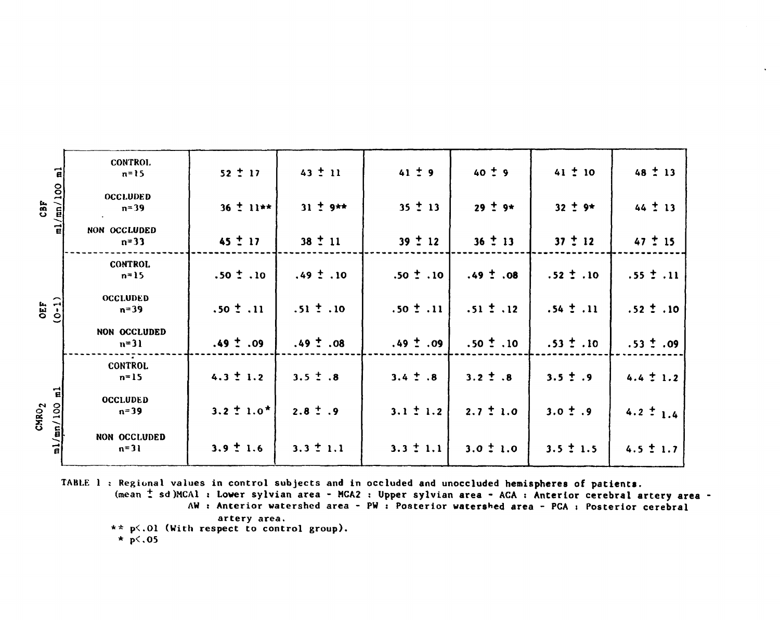| $\frac{\text{m1}}{\text{m1}}$ ( $\frac{\text{m1}}{\text{m1}}$<br>CBF | CONTROL<br>$n = 15$         | $52 \pm 17$     | $43 \pm 11$   | $41 \pm 9$    | $40 \pm 9$    | $41 \pm 10$   | $48 \pm 13$   |
|----------------------------------------------------------------------|-----------------------------|-----------------|---------------|---------------|---------------|---------------|---------------|
|                                                                      | <b>OCCLUDED</b><br>$n = 39$ | $36 \pm 11**$   | $31 \pm 9**$  | $35 \pm 13$   | $29 \pm 9*$   | $32 \pm 9*$   | $44 \pm 13$   |
|                                                                      | NON OCCLUDED<br>$n = 33$    | $45 \pm 17$     | $38 \pm 11$   | $39 \pm 12$   | $36 \pm 13$   | $37 \pm 12$   | $47 \div 15$  |
| $OEF$<br>(0-1)                                                       | <b>CONTROL</b><br>$n = 15$  | $.50 \pm .10$   | $.49 \pm .10$ | $.50 \pm .10$ | $.49 \pm .08$ | $.52 \pm .10$ | $.55 \pm .11$ |
|                                                                      | <b>OCCLUDED</b><br>$n = 39$ | $.50 \pm .11$   | $.51 \pm .10$ | $.50 \pm .11$ | $.51 \pm .12$ | $.54 \pm .11$ | $.52 \pm .10$ |
|                                                                      | NON OCCLUDED<br>$n=31$      | $.49 \pm .09$   | $.49 \pm .08$ | $.49 \pm .09$ | $.50 \pm .10$ | $.53 \pm .10$ | $.53 \pm .09$ |
| $\vec{a}$<br>$CHRO2$<br>$m1/mn/100$                                  | <b>CONTROL</b><br>$n=15$    | $4.3 \pm 1.2$   | $3.5 \pm .8$  | $3.4 \pm .8$  | $3.2 \pm .8$  | $3.5 \pm .9$  | $4.4 \pm 1.2$ |
|                                                                      | <b>OCCLUDED</b><br>$n = 39$ | $3.2 \pm 1.0^*$ | $2.8 \pm .9$  | $3.1 \pm 1.2$ | $2.7 \pm 1.0$ | $3.0 \pm .9$  | 4.2 $\pm$ 1.4 |
|                                                                      | NON OCCLUDED<br>$n = 31$    | $3.9 \pm 1.6$   | $3.3 \pm 1.1$ | $3.3 \pm 1.1$ | $3.0 \pm 1.0$ | $3.5 \pm 1.5$ | $4.5 \pm 1.7$ |

TABLE 1 : Regional values in control subjects and in occluded and unoccluded hemispheres of patients. (mean ± sd)MCAl : Lower sylvian area - MCA2 : Upper sylvian area - ACA : Anterior cerebral artery area -AW: Anterior watershed area - PW: Posterior watershed area - PCA: Posterior cerebral

artery area. \*\* p<.01 (With respect to control group).  $\star$  p < 05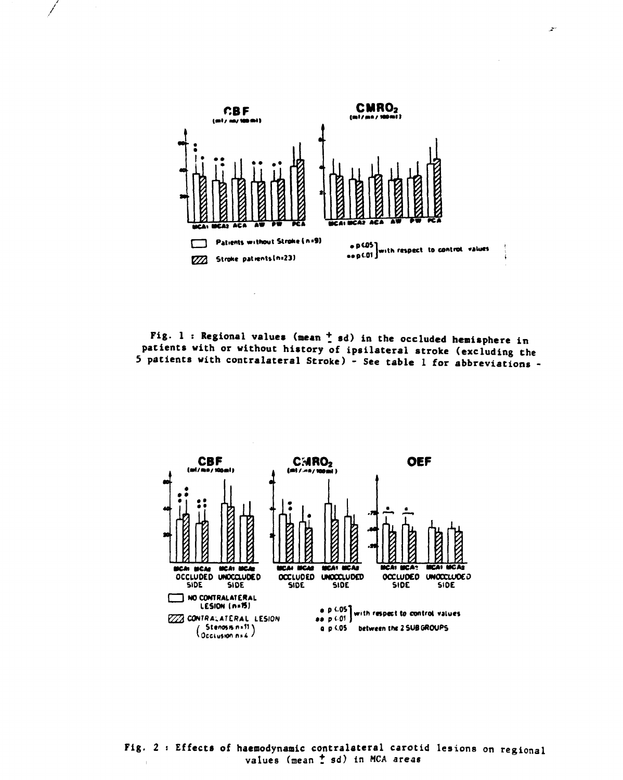

Fig. 1 : Regional values (mean  $\frac{1}{a}$  sd) in the occluded hemisphere in patients with or without history of ipsilateral stroke (excluding the 5 patients with contralateral Stroke) - See table 1 for abbreviations -

 $\ddot{\phantom{a}}$ 



Fig. 2 : Effects of haemodynamic contralateral carotid lesions on regional values (mean t sd) in MCA areas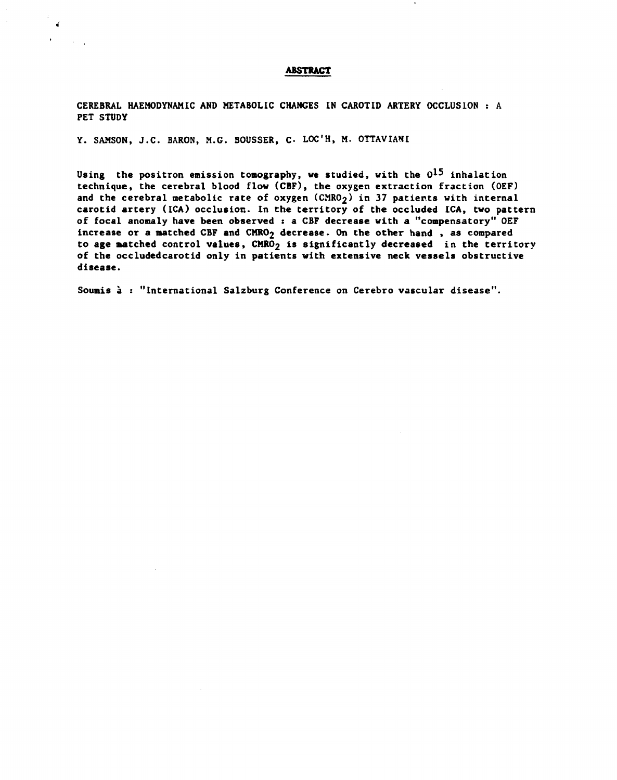## **ABSTRACT**

CEREBRAL HAEMODYNAMIC AND METABOLIC CHANGES IN CAROTID ARTERY OCCLUSION : A PET STUDY

Y. SAMSON, J.C. BARON, M.G. BOUSSER, C. LOC'H, M. OTTAVIANI

Using the positron emission tomography, we studied, with the  $0^{15}$  inhalation technique, the cerebral blood flow (CBF), the oxygen extraction fraction (OEF) and the cerebral metabolic rate of oxygen  $(CMRO<sub>2</sub>)$  in 37 patients with internal carotid artery (ICA) occlusion. In the territory of the occluded ICA, two pattern of focal anomaly have been observed : a CBF decrease with a "compensatory" OEF increase or a matched CBF and  $CMRO<sub>2</sub>$  decrease. On the other hand, as compared to age matched control values, CMRO<sub>2</sub> is significantly decreased in the territory of the occludedcarotid only in patients with extensive neck vessels obstructive disease.

Soumis à : "International Salzburg Conference on Cerebro vascular disease".